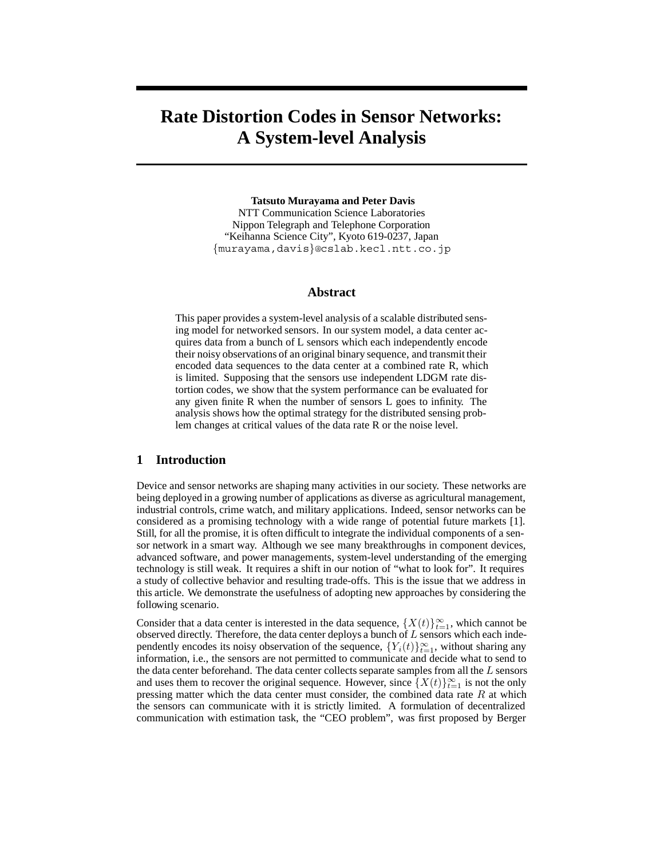# **Rate Distortion Codes in Sensor Networks: A System-level Analysis**

**Tatsuto Murayama and Peter Davis** NTT Communication Science Laboratories Nippon Telegraph and Telephone Corporation "Keihanna Science City", Kyoto 619-0237, Japan {murayama,davis}@cslab.kecl.ntt.co.jp

### **Abstract**

This paper provides a system-level analysis of a scalable distributed sensing model for networked sensors. In our system model, a data center acquires data from a bunch of L sensors which each independently encode their noisy observations of an original binary sequence, and transmit their encoded data sequences to the data center at a combined rate R, which is limited. Supposing that the sensors use independent LDGM rate distortion codes, we show that the system performance can be evaluated for any given finite R when the number of sensors L goes to infinity. The analysis shows how the optimal strategy for the distributed sensing problem changes at critical values of the data rate R or the noise level.

#### **1 Introduction**

Device and sensor networks are shaping many activities in our society. These networks are being deployed in a growing number of applications as diverse as agricultural management, industrial controls, crime watch, and military applications. Indeed, sensor networks can be considered as a promising technology with a wide range of potential future markets [1]. Still, for all the promise, it is often difficult to integrate the individual components of a sensor network in a smart way. Although we see many breakthroughs in component devices, advanced software, and power managements, system-level understanding of the emerging technology is still weak. It requires a shift in our notion of "what to look for". It requires a study of collective behavior and resulting trade-offs. This is the issue that we address in this article. We demonstrate the usefulness of adopting new approaches by considering the following scenario.

Consider that a data center is interested in the data sequence,  $\{X(t)\}_{t=1}^{\infty}$ , which cannot be observed directly. Therefore, the data center deploys a bunch of *L* sensors which each independently encodes its noisy observation of the sequence,  $\{Y_i(t)\}_{t=1}^{\infty}$ , without sharing any information, i.e., the sensors are not permitted to communicate and decide what to send to the data center beforehand. The data center collects separate samples from all the *L* sensors and uses them to recover the original sequence. However, since  $\{X(t)\}_{t=1}^{\infty}$  is not the only pressing matter which the data center must consider, the combined data rate *R* at which the sensors can communicate with it is strictly limited. A formulation of decentralized communication with estimation task, the "CEO problem", was first proposed by Berger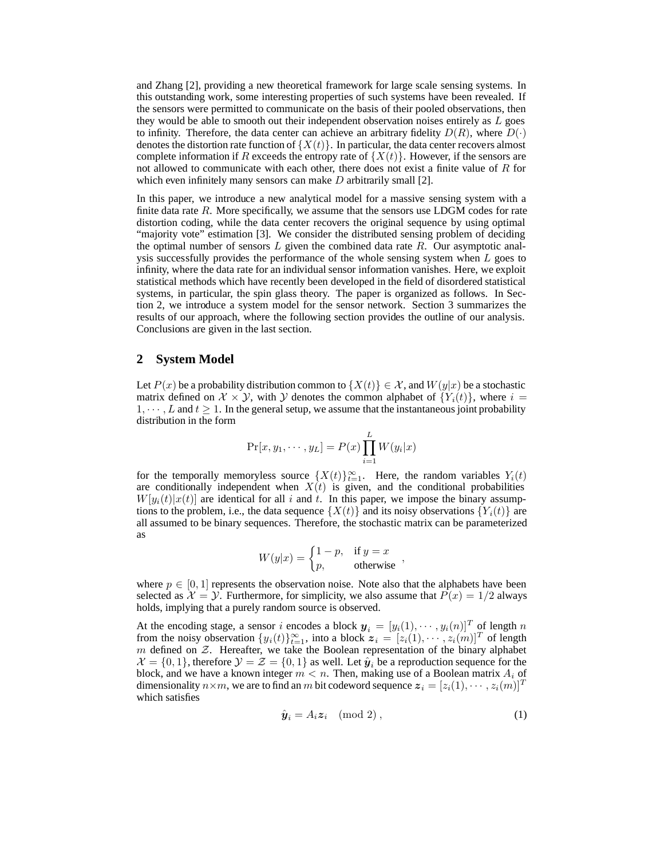and Zhang [2], providing a new theoretical framework for large scale sensing systems. In this outstanding work, some interesting properties of such systems have been revealed. If the sensors were permitted to communicate on the basis of their pooled observations, then they would be able to smooth out their independent observation noises entirely as *L* goes to infinity. Therefore, the data center can achieve an arbitrary fidelity  $D(R)$ , where  $D(\cdot)$ denotes the distortion rate function of  $\{X(t)\}\$ . In particular, the data center recovers almost complete information if *R* exceeds the entropy rate of  $\{X(t)\}\$ . However, if the sensors are not allowed to communicate with each other, there does not exist a finite value of *R* for which even infinitely many sensors can make *D* arbitrarily small [2].

In this paper, we introduce a new analytical model for a massive sensing system with a finite data rate *R*. More specifically, we assume that the sensors use LDGM codes for rate distortion coding, while the data center recovers the original sequence by using optimal "majority vote" estimation [3]. We consider the distributed sensing problem of deciding the optimal number of sensors *L* given the combined data rate *R*. Our asymptotic analysis successfully provides the performance of the whole sensing system when *L* goes to infinity, where the data rate for an individual sensor information vanishes. Here, we exploit statistical methods which have recently been developed in the field of disordered statistical systems, in particular, the spin glass theory. The paper is organized as follows. In Section 2, we introduce a system model for the sensor network. Section 3 summarizes the results of our approach, where the following section provides the outline of our analysis. Conclusions are given in the last section.

#### **2 System Model**

Let  $P(x)$  be a probability distribution common to  $\{X(t)\}\in\mathcal{X}$ , and  $W(y|x)$  be a stochastic matrix defined on  $\mathcal{X} \times \mathcal{Y}$ , with  $\mathcal{Y}$  denotes the common alphabet of  $\{Y_i(t)\}\)$ , where  $i =$  $1, \dots, L$  and  $t \geq 1$ . In the general setup, we assume that the instantaneous joint probability distribution in the form

$$
Pr[x, y_1, \cdots, y_L] = P(x) \prod_{i=1}^L W(y_i|x)
$$

for the temporally memoryless source  $\{X(t)\}_{t=1}^{\infty}$ . Here, the random variables  $Y_i(t)$ are conditionally independent when  $X(t)$  is given, and the conditional probabilities  $W[y_i(t)]x(t)$  are identical for all *i* and *t*. In this paper, we impose the binary assumptions to the problem, i.e., the data sequence  $\{X(t)\}\$ and its noisy observations  $\{Y_i(t)\}\$ are all assumed to be binary sequences. Therefore, the stochastic matrix can be parameterized as

$$
W(y|x) = \begin{cases} 1-p, & \text{if } y = x \\ p, & \text{otherwise} \end{cases}
$$

where  $p \in [0, 1]$  represents the observation noise. Note also that the alphabets have been selected as  $\mathcal{X} = \mathcal{Y}$ . Furthermore, for simplicity, we also assume that  $P(x) = 1/2$  always holds, implying that a purely random source is observed.

At the encoding stage, a sensor *i* encodes a block  $y_i = [y_i(1), \dots, y_i(n)]^T$  of length *n* from the noisy observation  $\{y_i(t)\}_{t=1}^{\infty}$ , into a block  $\boldsymbol{z}_i = [z_i(1), \cdots, z_i(m)]^T$  of length  $m$  defined on  $Z$ . Hereafter, we take the Boolean representation of the binary alphabet  $\mathcal{X} = \{0, 1\}$ , therefore  $\mathcal{Y} = \mathcal{Z} = \{0, 1\}$  as well. Let  $\hat{\mathbf{y}}_i$  be a reproduction sequence for the block, and we have a known integer  $m < n$ . Then, making use of a Boolean matrix  $A_i$  of dimensionality  $n \times m$ , we are to find an *m* bit codeword sequence  $\mathbf{z}_i = [z_i(1), \cdots, z_i(m)]^T$ which satisfies

$$
\hat{\boldsymbol{y}}_i = A_i \boldsymbol{z}_i \pmod{2},\tag{1}
$$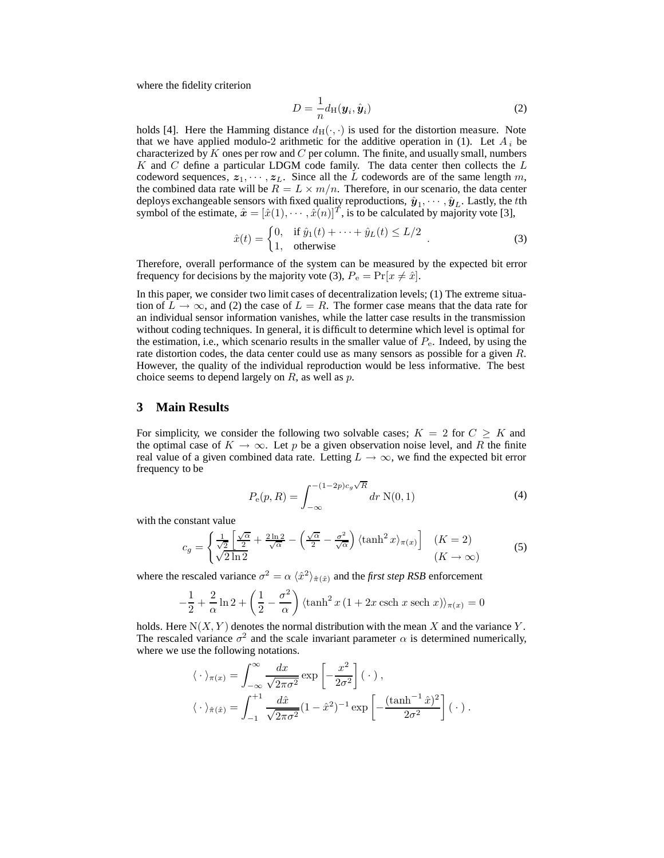where the fidelity criterion

$$
D = -\frac{1}{n} d_{\text{H}}(\boldsymbol{y}_i, \hat{\boldsymbol{y}}_i)
$$
 (2)

holds [4]. Here the Hamming distance  $d_H(\cdot, \cdot)$  is used for the distortion measure. Note that we have applied modulo-2 arithmetic for the additive operation in (1). Let  $A_i$  be characterized by *K* ones per row and *C* per column. The finite, and usually small, numbers *K* and *C* define a particular LDGM code family. The data center then collects the *L* codeword sequences,  $z_1, \dots, z_L$ . Since all the *L* codewords are of the same length *m*, the combined data rate will be  $R = L \times m/n$ . Therefore, in our scenario, the data center deploys exchangeable sensors with fixed quality reproductions,  $\hat{\bm{y}}_1, \cdots, \hat{\bm{y}}_L$ . Lastly, the *t*th symbol of the estimate,  $\hat{\mathbf{x}} = [\hat{x}(1), \cdots, \hat{x}(n)]^T$ , is to be calculated by majority vote [3],

$$
\hat{x}(t) = \begin{cases}\n0, & \text{if } \hat{y}_1(t) + \dots + \hat{y}_L(t) \le L/2 \\
1, & \text{otherwise}\n\end{cases} \tag{3}
$$

Therefore, overall performance of the system can be measured by the expected bit error frequency for decisions by the majority vote (3),  $P_e = Pr[x \neq \hat{x}]$ .

In this paper, we consider two limit cases of decentralization levels; (1) The extreme situation of  $L \to \infty$ , and (2) the case of  $L = R$ . The former case means that the data rate for an individual sensor information vanishes, while the latter case results in the transmission without coding techniques. In general, it is difficult to determine which level is optimal for the estimation, i.e., which scenario results in the smaller value of  $P<sub>e</sub>$ . Indeed, by using the rate distortion codes, the data center could use as many sensors as possible for a given *R*. However, the quality of the individual reproduction would be less informative. The best choice seems to depend largely on *R*, as well as *p*.

#### **3 Main Results**

For simplicity, we consider the following two solvable cases;  $K = 2$  for  $C \geq K$  and the optimal case of  $K \to \infty$ . Let p be a given observation noise level, and R the finite real value of a given combined data rate. Letting  $L \to \infty$ , we find the expected bit error frequency to be

$$
P_e(p, R) = \int_{-\infty}^{-(1-2p)c_g\sqrt{R}} dr \ N(0, 1)
$$
 (4)

with the constant value

$$
c_g = \begin{cases} \frac{1}{\sqrt{2}} \left[ \frac{\sqrt{\alpha}}{2} + \frac{2\ln 2}{\sqrt{\alpha}} - \left( \frac{\sqrt{\alpha}}{2} - \frac{\sigma^2}{\sqrt{\alpha}} \right) \langle \tanh^2 x \rangle_{\pi(x)} \right] & (K = 2) \\ \sqrt{2\ln 2} & (K \to \infty) \end{cases}
$$
(5)

where the rescaled variance  $\sigma^2 = \alpha \langle \hat{x}^2 \rangle_{\hat{\pi}(\hat{x})}$  and the *first step RSB* enforcement

$$
-\frac{1}{2} + \frac{2}{\alpha} \ln 2 + \left(\frac{1}{2} - \frac{\sigma^2}{\alpha}\right) \langle \tanh^2 x (1 + 2x \operatorname{csch} x \operatorname{sech} x) \rangle_{\pi(x)} = 0
$$

holds. Here  $N(X, Y)$  denotes the normal distribution with the mean X and the variance Y. The rescaled variance  $\sigma^2$  and the scale invariant parameter  $\alpha$  is determined numerically, where we use the following notations.

$$
\langle \cdot \rangle_{\pi(x)} = \int_{-\infty}^{\infty} \frac{dx}{\sqrt{2\pi\sigma^2}} \exp\left[-\frac{x^2}{2\sigma^2}\right] (\cdot),
$$

$$
\langle \cdot \rangle_{\hat{\pi}(\hat{x})} = \int_{-1}^{+1} \frac{d\hat{x}}{\sqrt{2\pi\sigma^2}} (1 - \hat{x}^2)^{-1} \exp\left[-\frac{(\tanh^{-1}\hat{x})^2}{2\sigma^2}\right] (\cdot).
$$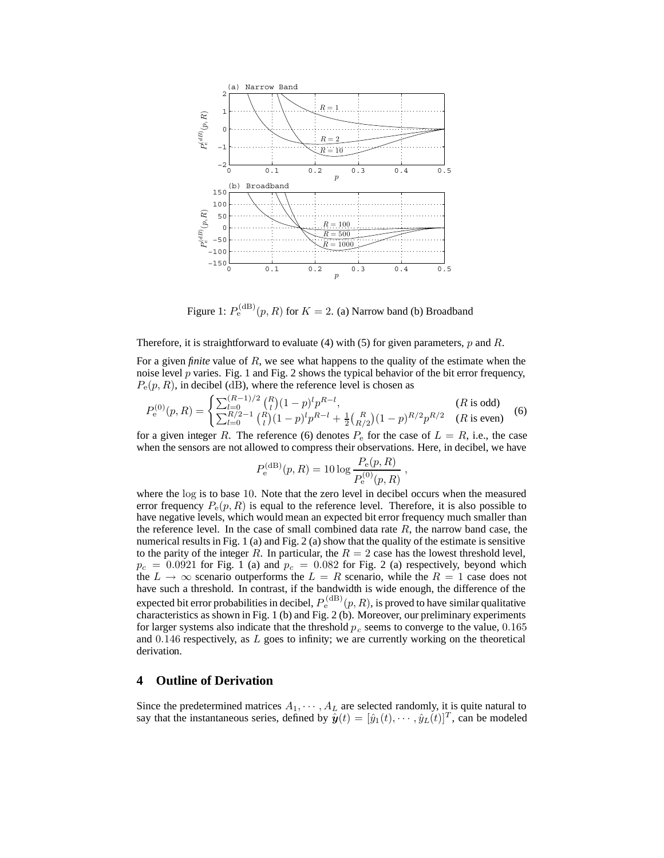

Figure 1:  $P_e^{\text{(dB)}}(p, R)$  for  $K = 2$ . (a) Narrow band (b) Broadband

Therefore, it is straightforward to evaluate (4) with (5) for given parameters, *p* and *R*.

For a given *finite* value of *R*, we see what happens to the quality of the estimate when the noise level  $p$  varies. Fig. 1 and Fig. 2 shows the typical behavior of the bit error frequency,  $P_e(p, R)$ , in decibel (dB), where the reference level is chosen as

$$
P_e^{(0)}(p,R) = \begin{cases} \sum_{l=0}^{(R-1)/2} {R \choose l} (1-p)^l p^{R-l}, & (R \text{ is odd})\\ \sum_{l=0}^{(R/2)-1} {R \choose l} (1-p)^l p^{R-l} + \frac{1}{2} {R \choose R/2} (1-p)^{R/2} p^{R/2} & (R \text{ is even}) \end{cases}
$$
 (6)

for a given integer *R*. The reference (6) denotes  $P_e$  for the case of  $L = R$ , i.e., the case when the sensors are not allowed to compress their observations. Here, in decibel, we have

$$
P_{\rm e}^{\rm (dB)}(p,R) = 10 \log \frac{P_{\rm e}(p,R)}{P_{\rm e}^{(0)}(p,R)},
$$

where the log is to base 10. Note that the zero level in decibel occurs when the measured error frequency  $P_e(p, R)$  is equal to the reference level. Therefore, it is also possible to have negative levels, which would mean an expected bit error frequency much smaller than the reference level. In the case of small combined data rate *R*, the narrow band case, the numerical results in Fig. 1 (a) and Fig. 2 (a) show that the quality of the estimate is sensitive to the parity of the integer  $R$ . In particular, the  $R = 2$  case has the lowest threshold level,  $p_c = 0.0921$  for Fig. 1 (a) and  $p_c = 0.082$  for Fig. 2 (a) respectively, beyond which the  $L \rightarrow \infty$  scenario outperforms the  $L = R$  scenario, while the  $R = 1$  case does not have such a threshold. In contrast, if the bandwidth is wide enough, the difference of the expected bit error probabilities in decibel,  $P_{\rm e}^{\rm (dB)}(p,R)$ , is proved to have similar qualitative characteristics as shown in Fig. 1 (b) and Fig. 2 (b). Moreover, our preliminary experiments for larger systems also indicate that the threshold  $p_c$  seems to converge to the value, 0.165 and 0*.*146 respectively, as *L* goes to infinity; we are currently working on the theoretical derivation.

## **4 Outline of Derivation**

Since the predetermined matrices  $A_1, \dots, A_L$  are selected randomly, it is quite natural to say that the instantaneous series, defined by  $\hat{\mathbf{y}}(t) = [\hat{y}_1(t), \cdots, \hat{y}_L(t)]^T$ , can be modeled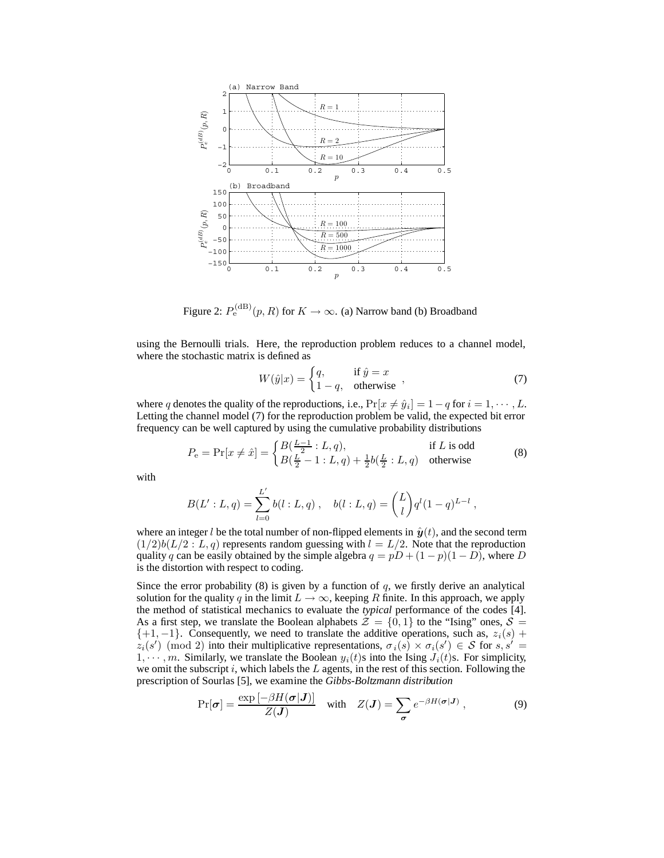

Figure 2:  $P_{\rm e}^{\rm (dB)}(p,R)$  for  $K\to\infty$ . (a) Narrow band (b) Broadband

using the Bernoulli trials. Here, the reproduction problem reduces to a channel model, where the stochastic matrix is defined as

$$
W(\hat{y}|x) = \begin{cases} q, & \text{if } \hat{y} = x \\ 1 - q, & \text{otherwise} \end{cases},
$$
\n(7)

where *q* denotes the quality of the reproductions, i.e.,  $Pr[x \neq \hat{y}_i] = 1 - q$  for  $i = 1, \dots, L$ . Letting the channel model (7) for the reproduction problem be valid, the expected bit error frequency can be well captured by using the cumulative probability distributions

$$
P_{\rm e} = \Pr[x \neq \hat{x}] = \begin{cases} B(\frac{L-1}{2} : L, q), & \text{if } L \text{ is odd} \\ B(\frac{L}{2} - 1 : L, q) + \frac{1}{2}b(\frac{L}{2} : L, q) & \text{otherwise} \end{cases}
$$
(8)

with

$$
B(L':L,q) = \sum_{l=0}^{L'} b(l:L,q) , \quad b(l:L,q) = {L \choose l} q^{l} (1-q)^{L-l} ,
$$

where an integer *l* be the total number of non-flipped elements in  $\hat{y}(t)$ , and the second term  $(1/2)b(L/2: L, q)$  represents random guessing with  $l = L/2$ . Note that the reproduction quality *q* can be easily obtained by the simple algebra  $q = pD + (1 - p)(1 - D)$ , where *D* is the distortion with respect to coding.

Since the error probability  $(8)$  is given by a function of  $q$ , we firstly derive an analytical solution for the quality *q* in the limit  $L \to \infty$ , keeping *R* finite. In this approach, we apply the method of statistical mechanics to evaluate the *typical* performance of the codes [4]. As a first step, we translate the Boolean alphabets  $\mathcal{Z} = \{0, 1\}$  to the "Ising" ones,  $\mathcal{S} =$ {+1*,* −1}. Consequently, we need to translate the additive operations, such as, *zi*(*s*) + *z*<sub>*i*</sub>(*s*<sup> $\prime$ </sup>) (mod 2) into their multiplicative representations,  $\sigma_i(s) \times \sigma_i(s') \in S$  for  $s, s' =$ 1,  $\cdots$ , *m*. Similarly, we translate the Boolean  $y_i(t)$ s into the Ising  $J_i(t)$ s. For simplicity, we omit the subscript *i*, which labels the *L* agents, in the rest of this section. Following the prescription of Sourlas [5], we examine the *Gibbs-Boltzmann distribution*

$$
\Pr[\boldsymbol{\sigma}] = \frac{\exp\left[-\beta H(\boldsymbol{\sigma}|\boldsymbol{J})\right]}{Z(\boldsymbol{J})} \quad \text{with} \quad Z(\boldsymbol{J}) = \sum_{\boldsymbol{\sigma}} e^{-\beta H(\boldsymbol{\sigma}|\boldsymbol{J})} \,, \tag{9}
$$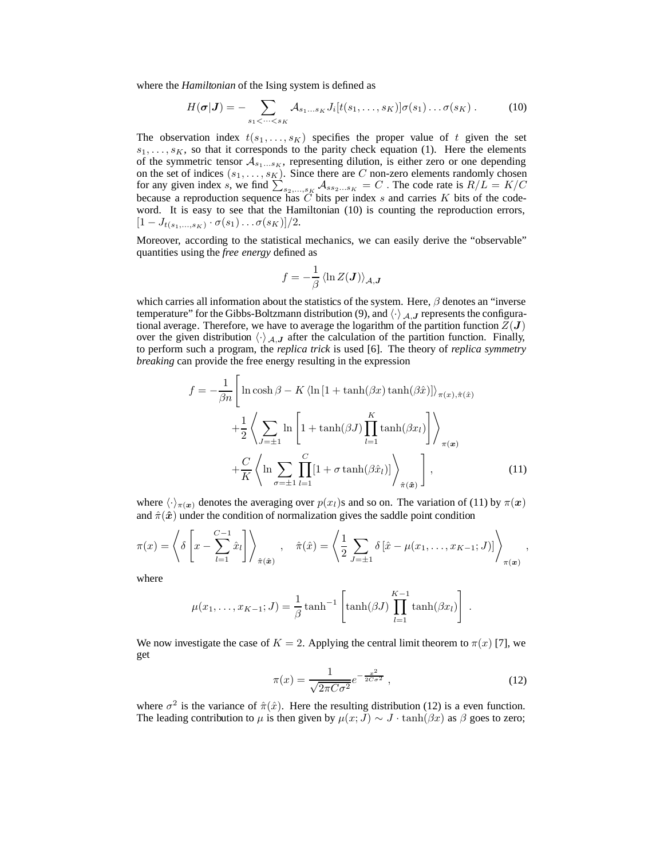where the *Hamiltonian* of the Ising system is defined as

$$
H(\boldsymbol{\sigma}|\boldsymbol{J}) = -\sum_{s_1 < \cdots < s_K} A_{s_1 \ldots s_K} J_i[t(s_1, \ldots, s_K)] \sigma(s_1) \ldots \sigma(s_K). \tag{10}
$$

The observation index  $t(s_1, \ldots, s_k)$  specifies the proper value of t given the set  $s_1, \ldots, s_K$ , so that it corresponds to the parity check equation (1). Here the elements of the symmetric tensor  $A_{s_1...s_K}$ , representing dilution, is either zero or one depending on the set of indices  $(s_1, \ldots, s_K)$ . Since there are *C* non-zero elements randomly chosen for any given index s, we find  $\sum_{s_2,\dots,s_K} A_{ss_2\dots s_K} = C$ . The code rate is  $R/L = K/C$ <br>because a reproduction sequence has C bits per index s and carries K bits of the codeword. It is easy to see that the Hamiltonian (10) is counting the reproduction errors,  $[1 - J_{t(s_1,...,s_K)} \cdot \sigma(s_1) \dots \sigma(s_K)]/2.$ 

Moreover, according to the statistical mechanics, we can easily derive the "observable" quantities using the *free energy* defined as

$$
f=-\frac{1}{\beta}\left\langle \ln Z(\boldsymbol{J})\right\rangle _{\mathcal{A},\boldsymbol{J}}
$$

which carries all information about the statistics of the system. Here, *β* denotes an "inverse temperature" for the Gibbs-Boltzmann distribution (9), and  $\langle \cdot \rangle_{A,J}$  represents the configurational average. Therefore, we have to average the logarithm of the partition function  $Z(\boldsymbol{J})$ over the given distribution  $\langle \cdot \rangle_{A,J}$  after the calculation of the partition function. Finally, to perform such a program, the *replica trick* is used [6]. The theory of *replica symmetry breaking* can provide the free energy resulting in the expression

$$
f = -\frac{1}{\beta n} \left[ \ln \cosh \beta - K \left\langle \ln \left[ 1 + \tanh(\beta x) \tanh(\beta \hat{x}) \right] \right\rangle_{\pi(x), \hat{\pi}(\hat{x})} + \frac{1}{2} \left\langle \sum_{J=\pm 1} \ln \left[ 1 + \tanh(\beta J) \prod_{l=1}^{K} \tanh(\beta x_{l}) \right] \right\rangle_{\pi(\mathbf{x})} + \frac{C}{K} \left\langle \ln \sum_{\sigma=\pm 1} \prod_{l=1}^{C} [1 + \sigma \tanh(\beta \hat{x}_{l})] \right\rangle_{\hat{\pi}(\hat{\mathbf{x}})} \right],
$$
(11)

where  $\langle \cdot \rangle_{\pi(\bm{x})}$  denotes the averaging over  $p(x_l)$ s and so on. The variation of (11) by  $\pi(\bm{x})$ and  $\hat{\pi}(\hat{x})$  under the condition of normalization gives the saddle point condition

$$
\pi(x) = \left\langle \delta \left[ x - \sum_{l=1}^{C-1} \hat{x}_l \right] \right\rangle_{\hat{\pi}(\hat{\bm{x}})}, \quad \hat{\pi}(\hat{x}) = \left\langle \frac{1}{2} \sum_{J=\pm 1} \delta \left[ \hat{x} - \mu(x_1, \ldots, x_{K-1}; J) \right] \right\rangle_{\pi(\bm{x})},
$$

where

$$
\mu(x_1,\ldots,x_{K-1};J) = \frac{1}{\beta} \tanh^{-1} \left[ \tanh(\beta J) \prod_{l=1}^{K-1} \tanh(\beta x_l) \right].
$$

We now investigate the case of  $K = 2$ . Applying the central limit theorem to  $\pi(x)$  [7], we get

$$
\pi(x) = \frac{1}{\sqrt{2\pi C\sigma^2}} e^{-\frac{x^2}{2C\sigma^2}},
$$
\n(12)

where  $\sigma^2$  is the variance of  $\hat{\pi}(\hat{x})$ . Here the resulting distribution (12) is a even function. The leading contribution to  $\mu$  is then given by  $\mu(x; J) \sim J \cdot \tanh(\beta x)$  as  $\beta$  goes to zero;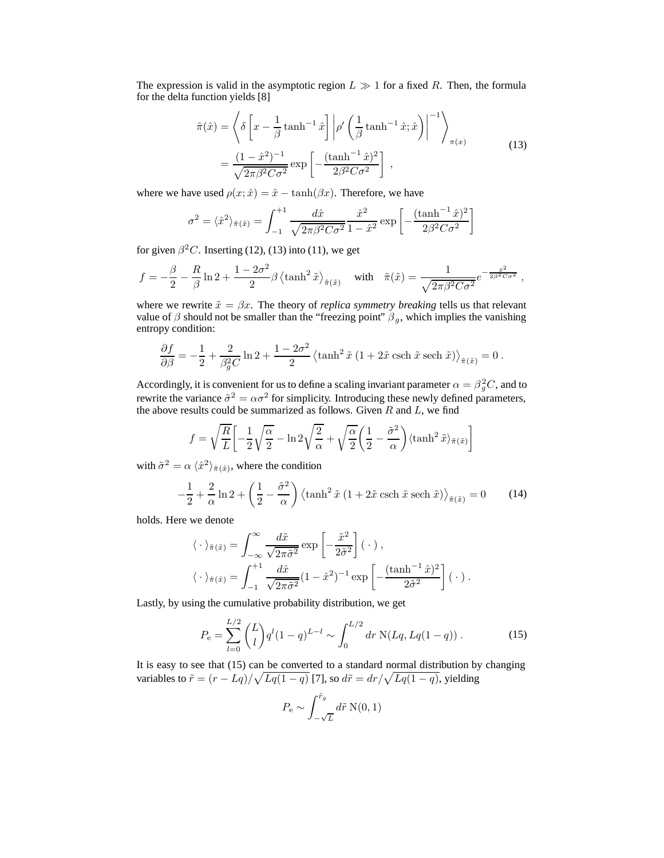The expression is valid in the asymptotic region  $L \gg 1$  for a fixed R. Then, the formula for the delta function yields [8]

$$
\hat{\pi}(\hat{x}) = \left\langle \delta \left[ x - \frac{1}{\beta} \tanh^{-1} \hat{x} \right] \middle| \rho' \left( \frac{1}{\beta} \tanh^{-1} \hat{x}; \hat{x} \right) \right|^{-1} \right\rangle_{\pi(x)}
$$
\n
$$
= \frac{(1 - \hat{x}^2)^{-1}}{\sqrt{2\pi\beta^2 C \sigma^2}} \exp \left[ -\frac{(\tanh^{-1} \hat{x})^2}{2\beta^2 C \sigma^2} \right] ,
$$
\n(13)

where we have used  $\rho(x; \hat{x}) = \hat{x} - \tanh(\beta x)$ . Therefore, we have

$$
\sigma^{2} = \langle \hat{x}^{2} \rangle_{\hat{\pi}(\hat{x})} = \int_{-1}^{+1} \frac{d\hat{x}}{\sqrt{2\pi\beta^{2}C\sigma^{2}}} \frac{\hat{x}^{2}}{1 - \hat{x}^{2}} \exp\left[-\frac{(\tanh^{-1}\hat{x})^{2}}{2\beta^{2}C\sigma^{2}}\right]
$$

for given  $\beta^2 C$ . Inserting (12), (13) into (11), we get

$$
f = -\frac{\beta}{2} - \frac{R}{\beta} \ln 2 + \frac{1 - 2\sigma^2}{2} \beta \left\langle \tanh^2 \tilde{x} \right\rangle_{\tilde{\pi}(\tilde{x})} \quad \text{with} \quad \tilde{\pi}(\tilde{x}) = \frac{1}{\sqrt{2\pi\beta^2 C \sigma^2}} e^{-\frac{\tilde{x}^2}{2\beta^2 C \sigma^2}} \,,
$$

where we rewrite  $\tilde{x} = \beta x$ . The theory of *replica symmetry breaking* tells us that relevant value of  $\beta$  should not be smaller than the "freezing point"  $\beta_g$ , which implies the vanishing entropy condition:

$$
\frac{\partial f}{\partial \beta} = -\frac{1}{2} + \frac{2}{\beta_g^2 C} \ln 2 + \frac{1 - 2\sigma^2}{2} \left\langle \tanh^2 \tilde{x} \left( 1 + 2\tilde{x} \operatorname{csch} \tilde{x} \operatorname{sech} \tilde{x} \right) \right\rangle_{\tilde{\pi}(\tilde{x})} = 0.
$$

Accordingly, it is convenient for us to define a scaling invariant parameter  $\alpha = \beta_g^2 C$ , and to rewrite the variance  $\tilde{\sigma}^2 = \alpha \sigma^2$  for simplicity. Introducing these newly defined parameters, the above results could be summarized as follows. Given *R* and *L*, we find

$$
f = \sqrt{\frac{R}{L}} \left[ -\frac{1}{2} \sqrt{\frac{\alpha}{2}} - \ln 2 \sqrt{\frac{2}{\alpha}} + \sqrt{\frac{\alpha}{2}} \left( \frac{1}{2} - \frac{\tilde{\sigma}^2}{\alpha} \right) \langle \tanh^2 \tilde{x} \rangle_{\tilde{\pi}(\tilde{x})} \right]
$$

with  $\tilde{\sigma}^2 = \alpha \langle \hat{x}^2 \rangle_{\hat{\pi}(\hat{x})}$ , where the condition

$$
-\frac{1}{2} + \frac{2}{\alpha} \ln 2 + \left(\frac{1}{2} - \frac{\tilde{\sigma}^2}{\alpha}\right) \left\langle \tanh^2 \tilde{x} \left(1 + 2\tilde{x} \operatorname{csch} \tilde{x} \operatorname{sech} \tilde{x}\right) \right\rangle_{\tilde{\pi}(\tilde{x})} = 0 \tag{14}
$$

holds. Here we denote

$$
\langle \cdot \rangle_{\tilde{\pi}(\tilde{x})} = \int_{-\infty}^{\infty} \frac{d\tilde{x}}{\sqrt{2\pi \tilde{\sigma}^2}} \exp\left[-\frac{\tilde{x}^2}{2\tilde{\sigma}^2}\right] (\cdot),
$$
  

$$
\langle \cdot \rangle_{\tilde{\pi}(\hat{x})} = \int_{-1}^{+1} \frac{d\hat{x}}{\sqrt{2\pi \tilde{\sigma}^2}} (1 - \hat{x}^2)^{-1} \exp\left[-\frac{(\tanh^{-1}\hat{x})^2}{2\tilde{\sigma}^2}\right] (\cdot).
$$

Lastly, by using the cumulative probability distribution, we get

$$
P_{\rm e} = \sum_{l=0}^{L/2} {L \choose l} q^l (1-q)^{L-l} \sim \int_0^{L/2} dr \, \mathcal{N}(Lq, Lq(1-q)) \,. \tag{15}
$$

It is easy to see that (15) can be converted to a standard normal distribution by changing variables to  $\tilde{r} = (r - Lq)/\sqrt{Lq(1 - q)}$  [7], so  $d\tilde{r} = dr/\sqrt{Lq(1 - q)}$ , yielding

$$
P_{\rm e} \sim \int_{-\sqrt{L}}^{\tilde{r}_g} d\tilde{r} \, \mathcal{N}(0, 1)
$$